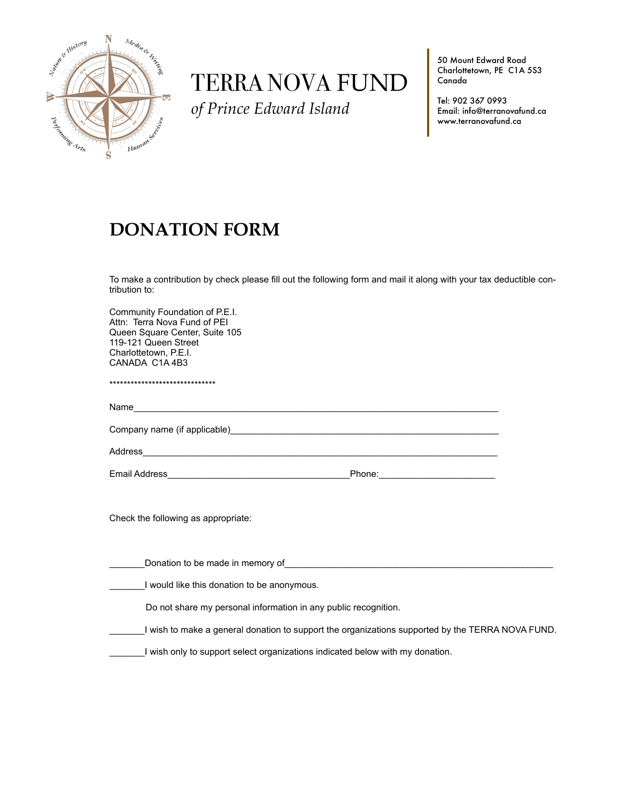

# TERRA NOVA FUND

*of Prince Edward Island*

50 Mount Edward Road Charlottetown, PE C1A 5S3 Canada

Tel: 902 367 0993 Email: info@terranovafund.ca www.terranovafund.ca

# **DONATION FORM**

To make a contribution by check please fill out the following form and mail it along with your tax deductible contribution to:

| Community Foundation of P.E.I.<br>Attn: Terra Nova Fund of PEI<br>Queen Square Center, Suite 105<br>119-121 Queen Street<br>Charlottetown, P.E.I.<br>CANADA C1A4B3                                                             |  |
|--------------------------------------------------------------------------------------------------------------------------------------------------------------------------------------------------------------------------------|--|
| *******************************                                                                                                                                                                                                |  |
|                                                                                                                                                                                                                                |  |
|                                                                                                                                                                                                                                |  |
|                                                                                                                                                                                                                                |  |
|                                                                                                                                                                                                                                |  |
| Check the following as appropriate:                                                                                                                                                                                            |  |
| Donation to be made in memory of the state of the state of the state of the state of the state of the state of the state of the state of the state of the state of the state of the state of the state of the state of the sta |  |
| I would like this donation to be anonymous.                                                                                                                                                                                    |  |
| Do not share my personal information in any public recognition.                                                                                                                                                                |  |
| I wish to make a general donation to support the organizations supported by the TERRA NOVA FUND.                                                                                                                               |  |
| I wish only to support select organizations indicated below with my donation.                                                                                                                                                  |  |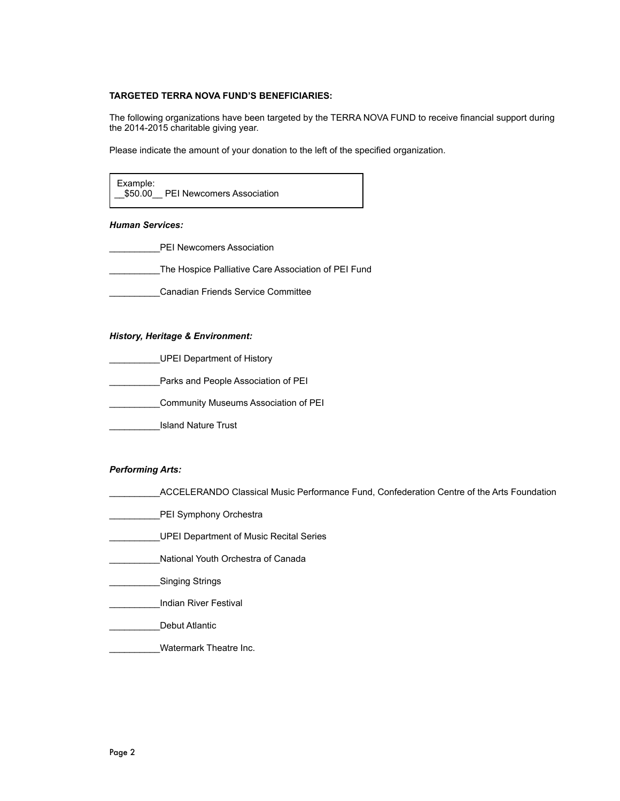# **TARGETED TERRA NOVA FUND'S BENEFICIARIES:**

The following organizations have been targeted by the TERRA NOVA FUND to receive financial support during the 2014-2015 charitable giving year.

Please indicate the amount of your donation to the left of the specified organization.



#### *Human Services:*

- PEI Newcomers Association
- \_\_\_\_\_\_\_\_\_\_The Hospice Palliative Care Association of PEI Fund
	- \_\_\_\_\_\_\_\_\_\_Canadian Friends Service Committee

#### *History, Heritage & Environment:*

- \_\_\_\_\_\_\_\_\_\_UPEI Department of History
- Parks and People Association of PEI
- \_\_\_\_\_\_\_\_\_\_Community Museums Association of PEI
- \_\_\_\_\_\_\_\_\_\_Island Nature Trust

#### *Performing Arts:*

- \_\_\_\_\_\_\_\_\_\_ACCELERANDO Classical Music Performance Fund, Confederation Centre of the Arts Foundation
- PEI Symphony Orchestra
- \_\_\_\_\_\_\_\_\_\_UPEI Department of Music Recital Series
- \_\_\_\_\_\_\_\_\_\_National Youth Orchestra of Canada
- Singing Strings
- \_\_\_\_\_\_\_\_\_\_Indian River Festival
- \_\_\_\_\_\_\_\_\_\_Debut Atlantic
	- Watermark Theatre Inc.